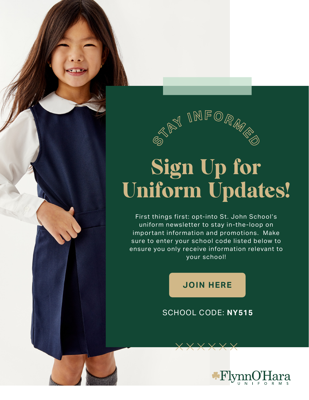

## Sign Up for Uniform Updates!

First things first: opt-into St. John School's uniform newsletter to stay in-the-loop on important information and promotions. Make sure to enter your school code listed below to ensure you only receive information relevant to your school!

**[JOIN HERE](https://flynnohara.com/join-our-email-list/)**

## SCHOOL CODE: **NY515**